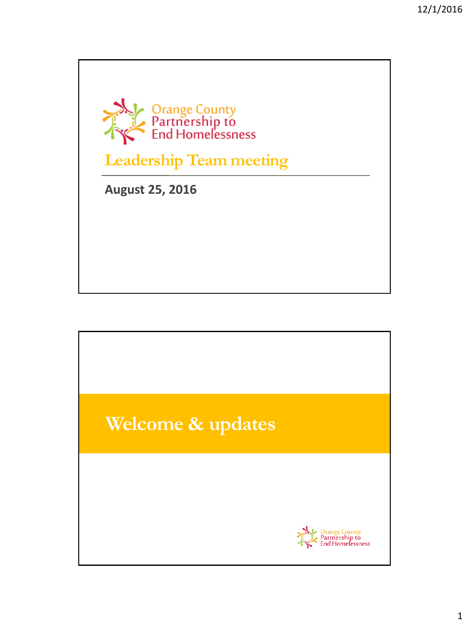

**Leadership Team meeting**

**August 25, 2016**

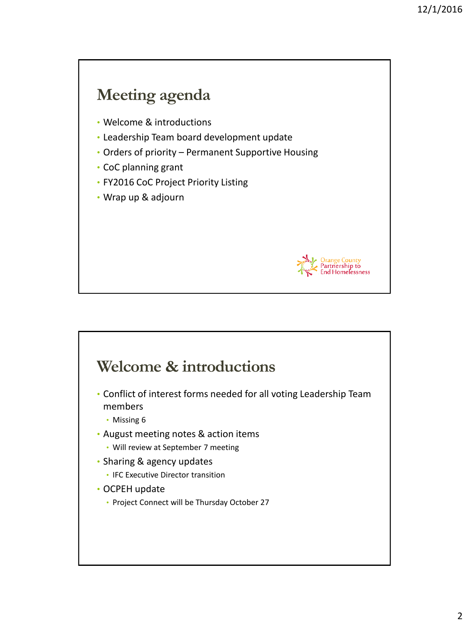# **Meeting agenda**

- Welcome & introductions
- Leadership Team board development update
- Orders of priority Permanent Supportive Housing
- CoC planning grant
- FY2016 CoC Project Priority Listing
- Wrap up & adjourn



### **Welcome & introductions**

- Conflict of interest forms needed for all voting Leadership Team members
	- Missing 6
- August meeting notes & action items
	- Will review at September 7 meeting
- Sharing & agency updates
	- IFC Executive Director transition
- OCPEH update
	- Project Connect will be Thursday October 27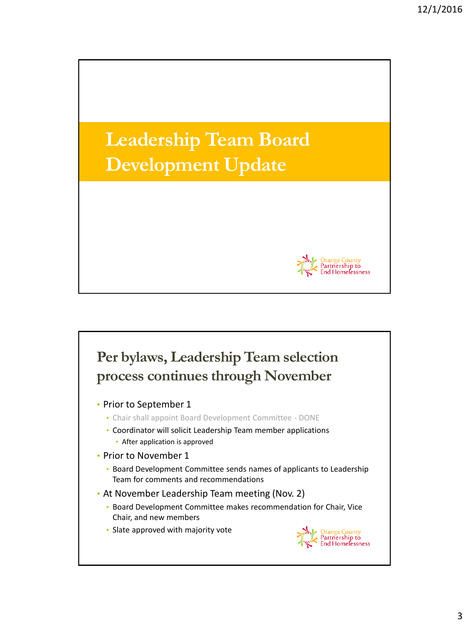

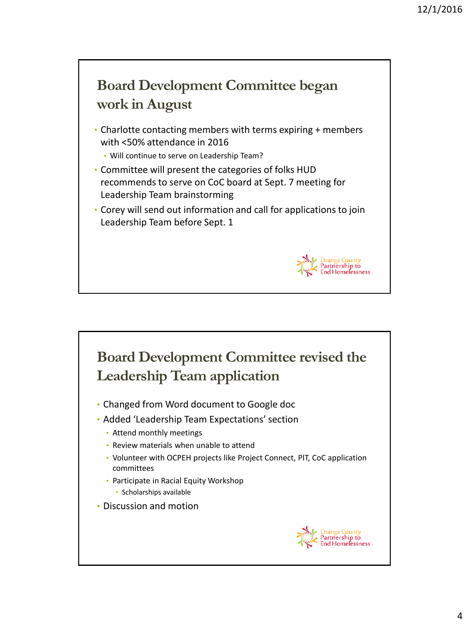

## **Board Development Committee revised the Leadership Team application**

- Changed from Word document to Google doc
- Added 'Leadership Team Expectations' section
	- Attend monthly meetings
	- Review materials when unable to attend
	- Volunteer with OCPEH projects like Project Connect, PIT, CoC application committees
	- Participate in Racial Equity Workshop • Scholarships available
- Discussion and motion

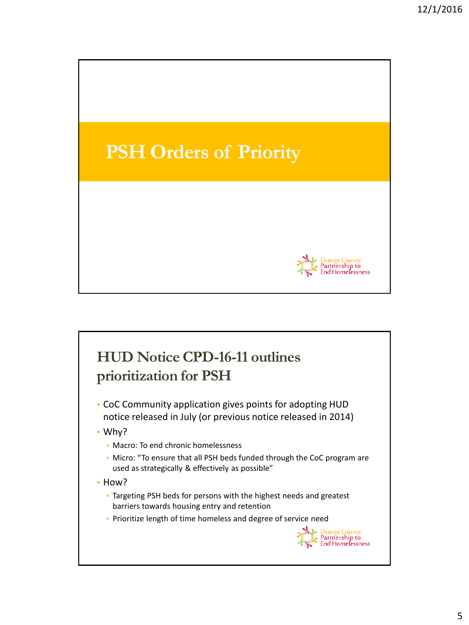

# **HUD Notice CPD-16-11 outlines prioritization for PSH**

- CoC Community application gives points for adopting HUD notice released in July (or previous notice released in 2014)
- Why?
	- Macro: To end chronic homelessness
	- Micro: "To ensure that all PSH beds funded through the CoC program are used as strategically & effectively as possible"
- How?
	- Targeting PSH beds for persons with the highest needs and greatest barriers towards housing entry and retention
	- Prioritize length of time homeless and degree of service need

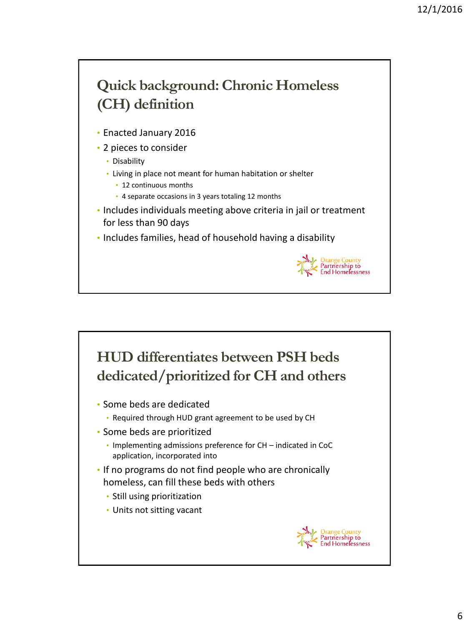# **Quick background: Chronic Homeless (CH) definition**

- Enacted January 2016
- 2 pieces to consider
	- Disability
	- Living in place not meant for human habitation or shelter
		- 12 continuous months
		- 4 separate occasions in 3 years totaling 12 months
- Includes individuals meeting above criteria in jail or treatment for less than 90 days
- Includes families, head of household having a disability



### **HUD differentiates between PSH beds dedicated/prioritized for CH and others**

- Some beds are dedicated
	- Required through HUD grant agreement to be used by CH
- Some beds are prioritized
	- Implementing admissions preference for CH indicated in CoC application, incorporated into
- If no programs do not find people who are chronically homeless, can fill these beds with others
	- Still using prioritization
	- Units not sitting vacant

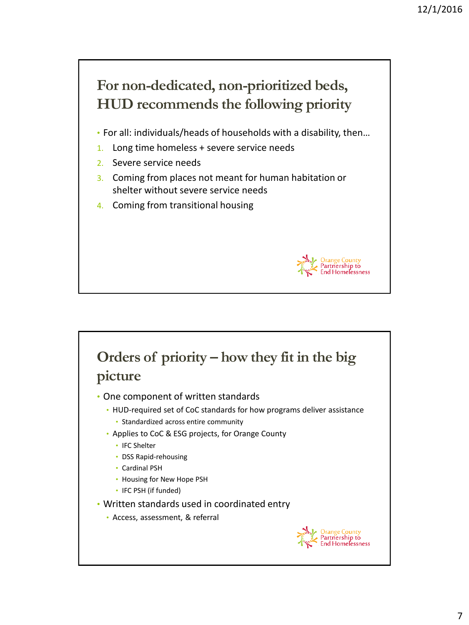

- 1. Long time homeless + severe service needs
- 2. Severe service needs
- 3. Coming from places not meant for human habitation or shelter without severe service needs
- 4. Coming from transitional housing



#### **Orders of priority – how they fit in the big picture**

- One component of written standards
	- HUD-required set of CoC standards for how programs deliver assistance
		- Standardized across entire community
	- Applies to CoC & ESG projects, for Orange County
		- IFC Shelter
		- DSS Rapid-rehousing
		- Cardinal PSH
		- Housing for New Hope PSH
		- IFC PSH (if funded)
- Written standards used in coordinated entry
	- Access, assessment, & referral

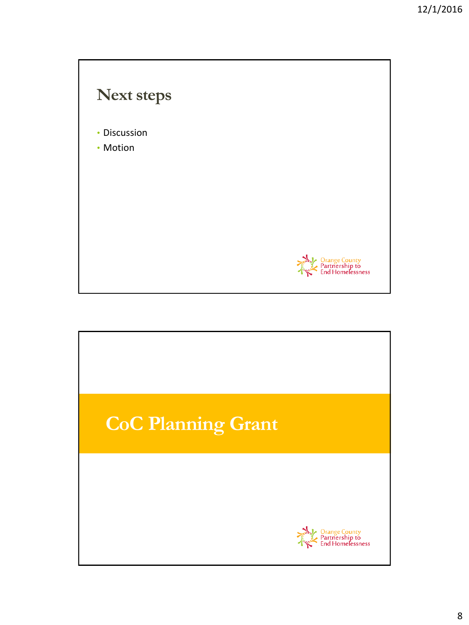

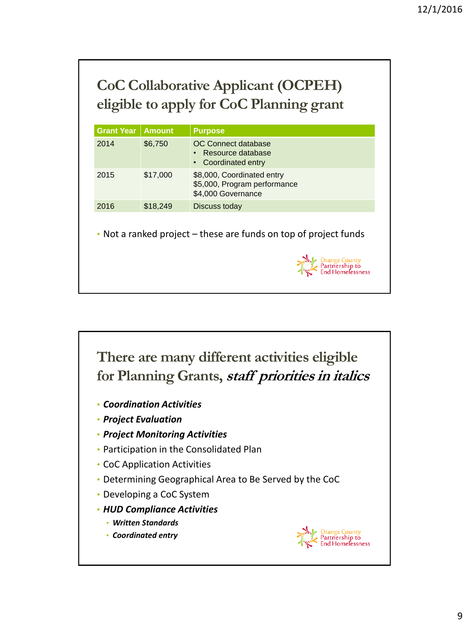# **CoC Collaborative Applicant (OCPEH) eligible to apply for CoC Planning grant**

| <b>Grant Year</b> | <b>Amount</b> | <b>Purpose</b>                                                                   |
|-------------------|---------------|----------------------------------------------------------------------------------|
| 2014              | \$6,750       | <b>OC</b> Connect database<br>• Resource database<br>• Coordinated entry         |
| 2015              | \$17,000      | \$8,000, Coordinated entry<br>\$5,000, Program performance<br>\$4,000 Governance |
| 2016              | \$18,249      | Discuss today                                                                    |

• Not a ranked project – these are funds on top of project funds





- *Coordination Activities*
- *Project Evaluation*
- *Project Monitoring Activities*
- Participation in the Consolidated Plan
- CoC Application Activities
- Determining Geographical Area to Be Served by the CoC
- Developing a CoC System
- *HUD Compliance Activities*
	- *Written Standards*
	- *Coordinated entry*

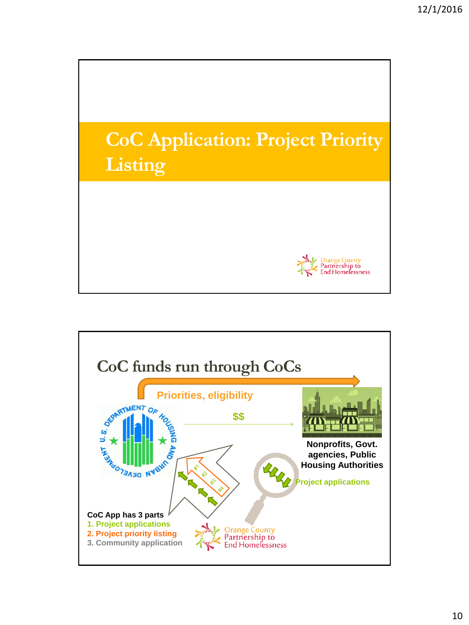

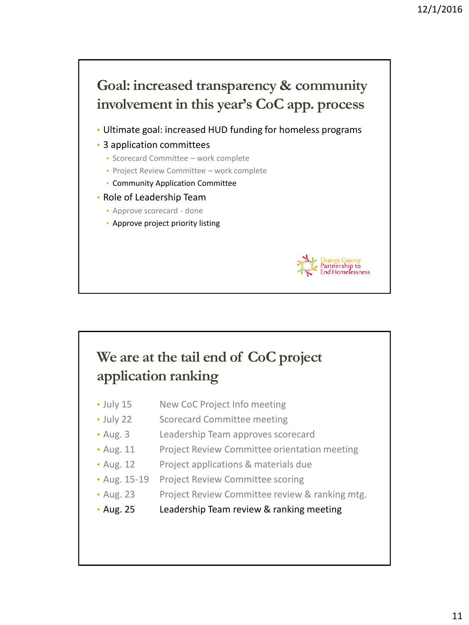

## **We are at the tail end of CoC project application ranking**

- July 15 New CoC Project Info meeting
- July 22 Scorecard Committee meeting
- Aug. 3 Leadership Team approves scorecard
- Aug. 11 Project Review Committee orientation meeting
- Aug. 12 Project applications & materials due
- Aug. 15-19 Project Review Committee scoring
- Aug. 23 Project Review Committee review & ranking mtg.
- Aug. 25 Leadership Team review & ranking meeting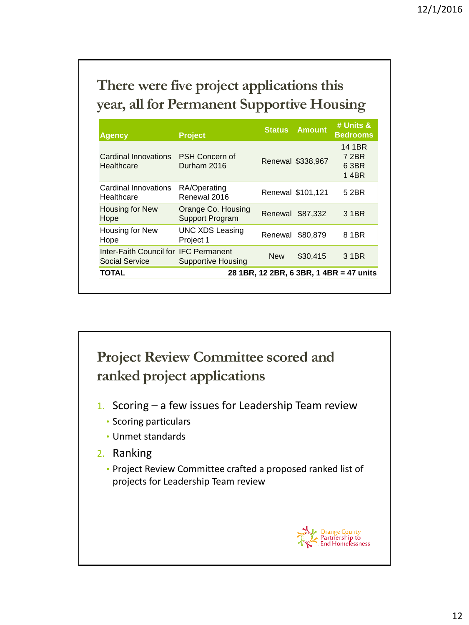# **There were five project applications this year, all for Permanent Supportive Housing**

| <b>Agency</b>                                           | <b>Project</b>                        | <b>Status</b> | <b>Amount</b>     | # Units &<br><b>Bedrooms</b>     |  |
|---------------------------------------------------------|---------------------------------------|---------------|-------------------|----------------------------------|--|
| Cardinal Innovations<br>Healthcare                      | PSH Concern of<br>Durham 2016         |               | Renewal \$338,967 | 14 1BR<br>7 2BR<br>6 3BR<br>14BR |  |
| Cardinal Innovations<br>Healthcare                      | RA/Operating<br>Renewal 2016          |               | Renewal \$101,121 | 5 2BR                            |  |
| Housing for New<br>Hope                                 | Orange Co. Housing<br>Support Program | Renewal       | \$87.332          | 3 1 BR                           |  |
| Housing for New<br>Hope                                 | <b>UNC XDS Leasing</b><br>Project 1   | Renewal       | \$80,879          | 8.1BR                            |  |
| Inter-Faith Council for IFC Permanent<br>Social Service | Supportive Housing                    | <b>New</b>    | \$30,415          | 3 1 BR                           |  |
| TOTAL<br>28 1BR, 12 2BR, 6 3BR, 1 4BR = 47 units        |                                       |               |                   |                                  |  |



- 1. Scoring  $-$  a few issues for Leadership Team review
	- Scoring particulars
	- Unmet standards
- 2. Ranking
	- Project Review Committee crafted a proposed ranked list of projects for Leadership Team review

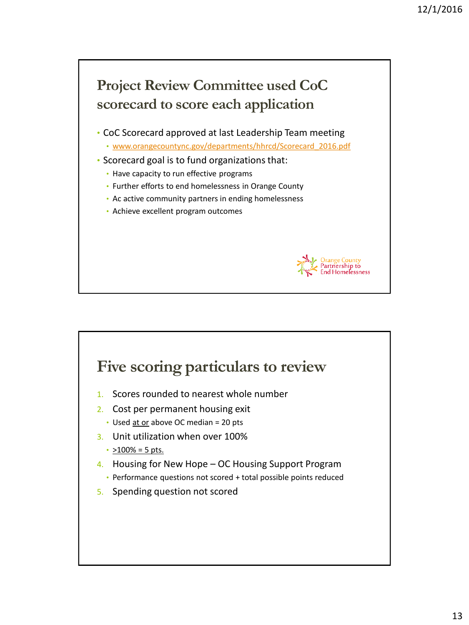

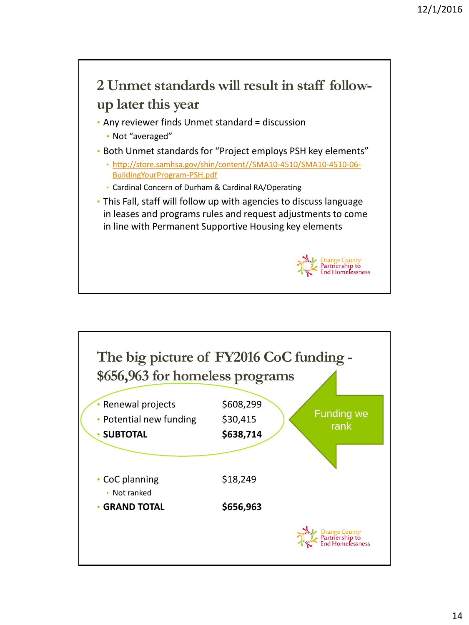

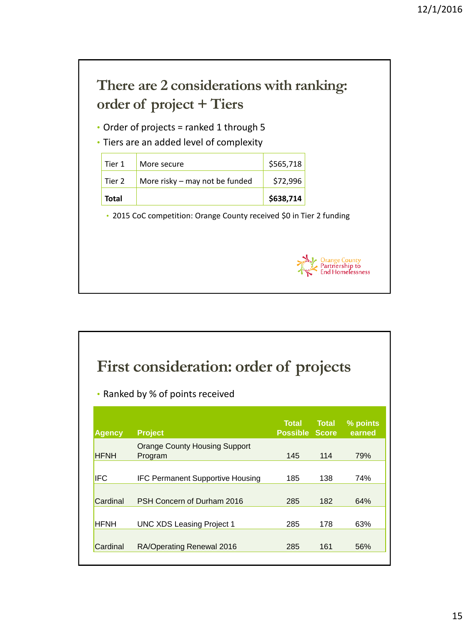

| First consideration: order of projects<br>Ranked by % of points received<br>۰ |                                                 |                                |       |                    |  |
|-------------------------------------------------------------------------------|-------------------------------------------------|--------------------------------|-------|--------------------|--|
| Agency                                                                        | <b>Project</b>                                  | Total<br><b>Possible Score</b> | Total | % points<br>earned |  |
| <b>HFNH</b>                                                                   | <b>Orange County Housing Support</b><br>Program | 145                            | 114   | 79%                |  |
| IFC.                                                                          | <b>IFC Permanent Supportive Housing</b>         | 185                            | 138   | 74%                |  |
| Cardinal                                                                      | PSH Concern of Durham 2016                      | 285                            | 182   | 64%                |  |
| <b>HFNH</b>                                                                   | UNC XDS Leasing Project 1                       | 285                            | 178   | 63%                |  |
| Cardinal                                                                      | RA/Operating Renewal 2016                       | 285                            | 161   | 56%                |  |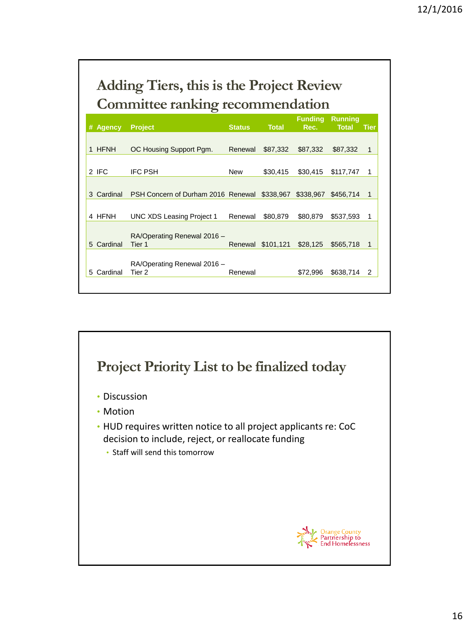# **Adding Tiers, this is the Project Review Committee ranking recommendation**

| # Agency   | <b>Project</b>                                         | <b>Status</b> | <b>Total</b>      | <b>Funding</b><br>Rec. | <b>Running</b><br><b>Total</b> | <b>Tier</b>    |
|------------|--------------------------------------------------------|---------------|-------------------|------------------------|--------------------------------|----------------|
|            |                                                        |               |                   |                        |                                |                |
| 1 HFNH     | OC Housing Support Pgm.                                | Renewal       | \$87,332          | \$87,332               | \$87,332                       | -1             |
|            |                                                        |               |                   |                        |                                |                |
| 2 IFC      | <b>IFC PSH</b>                                         | <b>New</b>    | \$30,415          | \$30,415               | \$117,747                      | 1              |
|            |                                                        |               |                   |                        |                                |                |
| 3 Cardinal | PSH Concern of Durham 2016 Renewal \$338.967 \$338.967 |               |                   |                        | \$456,714                      | -1             |
|            |                                                        |               |                   |                        |                                |                |
| 4 HFNH     | UNC XDS Leasing Project 1                              | Renewal       | \$80,879          | \$80,879               | \$537.593                      | 1              |
|            |                                                        |               |                   |                        |                                |                |
| 5 Cardinal | RA/Operating Renewal 2016 -<br>Tier 1                  |               | Renewal \$101,121 | \$28,125               | \$565,718                      | $\overline{1}$ |
|            |                                                        |               |                   |                        |                                |                |
| 5 Cardinal | RA/Operating Renewal 2016 -<br>Tier <sub>2</sub>       | Renewal       |                   | \$72,996               | \$638,714                      | 2              |
|            |                                                        |               |                   |                        |                                |                |

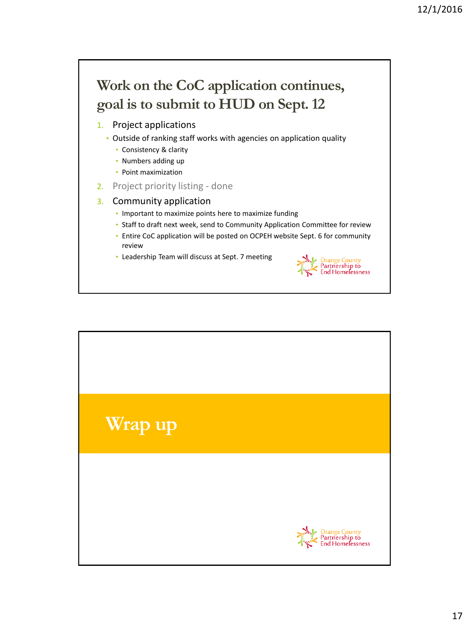## **Work on the CoC application continues, goal is to submit to HUD on Sept. 12**

- 1. Project applications
	- Outside of ranking staff works with agencies on application quality
		- Consistency & clarity
		- Numbers adding up
		- Point maximization
- 2. Project priority listing done

#### 3. Community application

- Important to maximize points here to maximize funding
- Staff to draft next week, send to Community Application Committee for review
- Entire CoC application will be posted on OCPEH website Sept. 6 for community review
- Leadership Team will discuss at Sept. 7 meeting